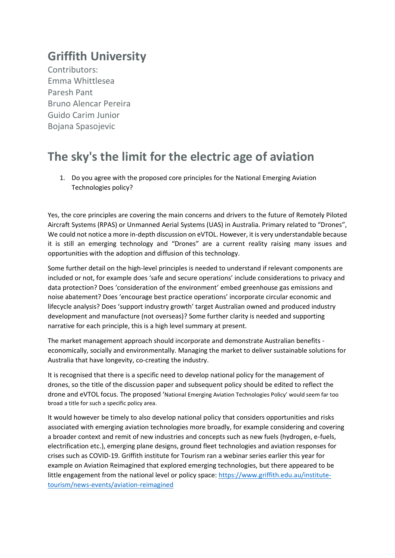## **Griffith University**

Contributors: Emma Whittlesea Paresh Pant Bruno Alencar Pereira Guido Carim Junior Bojana Spasojevic

## **The sky's the limit for the electric age of aviation**

1. Do you agree with the proposed core principles for the National Emerging Aviation Technologies policy?

Yes, the core principles are covering the main concerns and drivers to the future of Remotely Piloted Aircraft Systems (RPAS) or Unmanned Aerial Systems (UAS) in Australia. Primary related to "Drones", We could not notice a more in-depth discussion on eVTOL. However, it is very understandable because it is still an emerging technology and "Drones" are a current reality raising many issues and opportunities with the adoption and diffusion of this technology.

Some further detail on the high-level principles is needed to understand if relevant components are included or not, for example does 'safe and secure operations' include considerations to privacy and data protection? Does 'consideration of the environment' embed greenhouse gas emissions and noise abatement? Does 'encourage best practice operations' incorporate circular economic and lifecycle analysis? Does 'support industry growth' target Australian owned and produced industry development and manufacture (not overseas)? Some further clarity is needed and supporting narrative for each principle, this is a high level summary at present.

The market management approach should incorporate and demonstrate Australian benefits economically, socially and environmentally. Managing the market to deliver sustainable solutions for Australia that have longevity, co-creating the industry.

It is recognised that there is a specific need to develop national policy for the management of drones, so the title of the discussion paper and subsequent policy should be edited to reflect the drone and eVTOL focus. The proposed 'National Emerging Aviation Technologies Policy' would seem far too broad a title for such a specific policy area.

It would however be timely to also develop national policy that considers opportunities and risks associated with emerging aviation technologies more broadly, for example considering and covering a broader context and remit of new industries and concepts such as new fuels (hydrogen, e-fuels, electrification etc.), emerging plane designs, ground fleet technologies and aviation responses for crises such as COVID-19. Griffith institute for Tourism ran a webinar series earlier this year for example on Aviation Reimagined that explored emerging technologies, but there appeared to be little engagement from the national level or policy space: [https://www.griffith.edu.au/institute](https://www.griffith.edu.au/institute-tourism/news-events/aviation-reimagined)[tourism/news-events/aviation-reimagined](https://www.griffith.edu.au/institute-tourism/news-events/aviation-reimagined)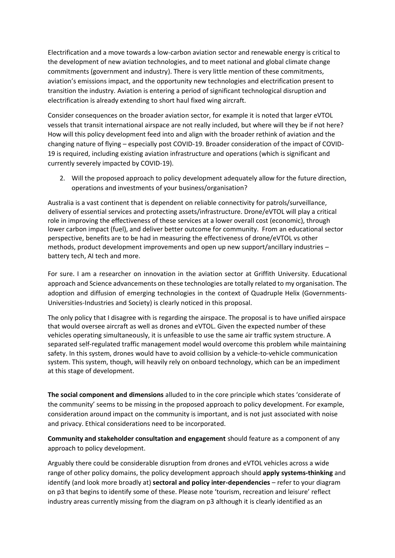Electrification and a move towards a low-carbon aviation sector and renewable energy is critical to the development of new aviation technologies, and to meet national and global climate change commitments (government and industry). There is very little mention of these commitments, aviation's emissions impact, and the opportunity new technologies and electrification present to transition the industry. Aviation is entering a period of significant technological disruption and electrification is already extending to short haul fixed wing aircraft.

Consider consequences on the broader aviation sector, for example it is noted that larger eVTOL vessels that transit international airspace are not really included, but where will they be if not here? How will this policy development feed into and align with the broader rethink of aviation and the changing nature of flying – especially post COVID-19. Broader consideration of the impact of COVID-19 is required, including existing aviation infrastructure and operations (which is significant and currently severely impacted by COVID-19).

2. Will the proposed approach to policy development adequately allow for the future direction, operations and investments of your business/organisation?

Australia is a vast continent that is dependent on reliable connectivity for patrols/surveillance, delivery of essential services and protecting assets/infrastructure. Drone/eVTOL will play a critical role in improving the effectiveness of these services at a lower overall cost (economic), through lower carbon impact (fuel), and deliver better outcome for community. From an educational sector perspective, benefits are to be had in measuring the effectiveness of drone/eVTOL vs other methods, product development improvements and open up new support/ancillary industries – battery tech, AI tech and more.

For sure. I am a researcher on innovation in the aviation sector at Griffith University. Educational approach and Science advancements on these technologies are totally related to my organisation. The adoption and diffusion of emerging technologies in the context of Quadruple Helix (Governments-Universities-Industries and Society) is clearly noticed in this proposal.

The only policy that I disagree with is regarding the airspace. The proposal is to have unified airspace that would oversee aircraft as well as drones and eVTOL. Given the expected number of these vehicles operating simultaneously, it is unfeasible to use the same air traffic system structure. A separated self-regulated traffic management model would overcome this problem while maintaining safety. In this system, drones would have to avoid collision by a vehicle-to-vehicle communication system. This system, though, will heavily rely on onboard technology, which can be an impediment at this stage of development.

**The social component and dimensions** alluded to in the core principle which states 'considerate of the community' seems to be missing in the proposed approach to policy development. For example, consideration around impact on the community is important, and is not just associated with noise and privacy. Ethical considerations need to be incorporated.

**Community and stakeholder consultation and engagement** should feature as a component of any approach to policy development.

Arguably there could be considerable disruption from drones and eVTOL vehicles across a wide range of other policy domains, the policy development approach should **apply systems-thinking** and identify (and look more broadly at) **sectoral and policy inter-dependencies** – refer to your diagram on p3 that begins to identify some of these. Please note 'tourism, recreation and leisure' reflect industry areas currently missing from the diagram on p3 although it is clearly identified as an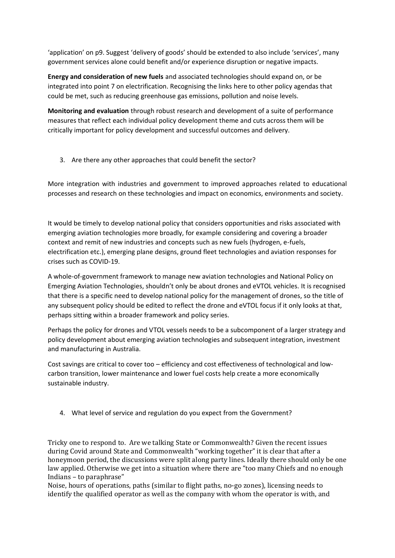'application' on p9. Suggest 'delivery of goods' should be extended to also include 'services', many government services alone could benefit and/or experience disruption or negative impacts.

**Energy and consideration of new fuels** and associated technologies should expand on, or be integrated into point 7 on electrification. Recognising the links here to other policy agendas that could be met, such as reducing greenhouse gas emissions, pollution and noise levels.

**Monitoring and evaluation** through robust research and development of a suite of performance measures that reflect each individual policy development theme and cuts across them will be critically important for policy development and successful outcomes and delivery.

3. Are there any other approaches that could benefit the sector?

More integration with industries and government to improved approaches related to educational processes and research on these technologies and impact on economics, environments and society.

It would be timely to develop national policy that considers opportunities and risks associated with emerging aviation technologies more broadly, for example considering and covering a broader context and remit of new industries and concepts such as new fuels (hydrogen, e-fuels, electrification etc.), emerging plane designs, ground fleet technologies and aviation responses for crises such as COVID-19.

A whole-of-government framework to manage new aviation technologies and National Policy on Emerging Aviation Technologies, shouldn't only be about drones and eVTOL vehicles. It is recognised that there is a specific need to develop national policy for the management of drones, so the title of any subsequent policy should be edited to reflect the drone and eVTOL focus if it only looks at that, perhaps sitting within a broader framework and policy series.

Perhaps the policy for drones and VTOL vessels needs to be a subcomponent of a larger strategy and policy development about emerging aviation technologies and subsequent integration, investment and manufacturing in Australia.

Cost savings are critical to cover too – efficiency and cost effectiveness of technological and lowcarbon transition, lower maintenance and lower fuel costs help create a more economically sustainable industry.

4. What level of service and regulation do you expect from the Government?

Tricky one to respond to. Are we talking State or Commonwealth? Given the recent issues during Covid around State and Commonwealth "working together" it is clear that after a honeymoon period, the discussions were split along party lines. Ideally there should only be one law applied. Otherwise we get into a situation where there are "too many Chiefs and no enough Indians – to paraphrase"

Noise, hours of operations, paths (similar to flight paths, no-go zones), licensing needs to identify the qualified operator as well as the company with whom the operator is with, and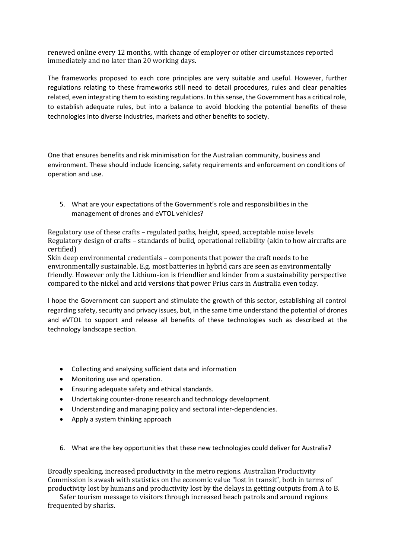renewed online every 12 months, with change of employer or other circumstances reported immediately and no later than 20 working days.

The frameworks proposed to each core principles are very suitable and useful. However, further regulations relating to these frameworks still need to detail procedures, rules and clear penalties related, even integrating them to existing regulations. In this sense, the Government has a critical role, to establish adequate rules, but into a balance to avoid blocking the potential benefits of these technologies into diverse industries, markets and other benefits to society.

One that ensures benefits and risk minimisation for the Australian community, business and environment. These should include licencing, safety requirements and enforcement on conditions of operation and use.

5. What are your expectations of the Government's role and responsibilities in the management of drones and eVTOL vehicles?

Regulatory use of these crafts – regulated paths, height, speed, acceptable noise levels Regulatory design of crafts – standards of build, operational reliability (akin to how aircrafts are certified)

Skin deep environmental credentials – components that power the craft needs to be environmentally sustainable. E.g. most batteries in hybrid cars are seen as environmentally friendly. However only the Lithium-ion is friendlier and kinder from a sustainability perspective compared to the nickel and acid versions that power Prius cars in Australia even today.

I hope the Government can support and stimulate the growth of this sector, establishing all control regarding safety, security and privacy issues, but, in the same time understand the potential of drones and eVTOL to support and release all benefits of these technologies such as described at the technology landscape section.

## • Collecting and analysing sufficient data and information

- Monitoring use and operation.
- Ensuring adequate safety and ethical standards.
- Undertaking counter-drone research and technology development.
- Understanding and managing policy and sectoral inter-dependencies.
- Apply a system thinking approach
- 6. What are the key opportunities that these new technologies could deliver for Australia?

Broadly speaking, increased productivity in the metro regions. Australian Productivity Commission is awash with statistics on the economic value "lost in transit", both in terms of productivity lost by humans and productivity lost by the delays in getting outputs from A to B.

Safer tourism message to visitors through increased beach patrols and around regions frequented by sharks.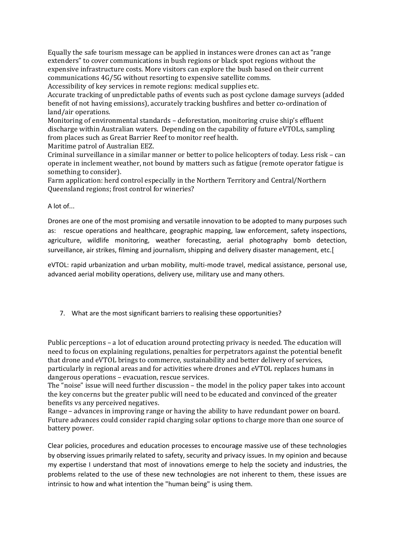Equally the safe tourism message can be applied in instances were drones can act as "range extenders" to cover communications in bush regions or black spot regions without the expensive infrastructure costs. More visitors can explore the bush based on their current communications 4G/5G without resorting to expensive satellite comms.

Accessibility of key services in remote regions: medical supplies etc. Accurate tracking of unpredictable paths of events such as post cyclone damage surveys (added benefit of not having emissions), accurately tracking bushfires and better co-ordination of

land/air operations. Monitoring of environmental standards – deforestation, monitoring cruise ship's effluent

discharge within Australian waters. Depending on the capability of future eVTOLs, sampling from places such as Great Barrier Reef to monitor reef health.

Maritime patrol of Australian EEZ.

Criminal surveillance in a similar manner or better to police helicopters of today. Less risk – can operate in inclement weather, not bound by matters such as fatigue (remote operator fatigue is something to consider).

Farm application: herd control especially in the Northern Territory and Central/Northern Queensland regions; frost control for wineries?

A lot of...

Drones are one of the most promising and versatile innovation to be adopted to many purposes such as: rescue operations and healthcare, geographic mapping, law enforcement, safety inspections, agriculture, wildlife monitoring, weather forecasting, aerial photography bomb detection, surveillance, air strikes, filming and journalism, shipping and delivery disaster management, etc.[

eVTOL: rapid urbanization and urban mobility, multi-mode travel, medical assistance, personal use, advanced aerial mobility operations, delivery use, military use and many others.

7. What are the most significant barriers to realising these opportunities?

Public perceptions – a lot of education around protecting privacy is needed. The education will need to focus on explaining regulations, penalties for perpetrators against the potential benefit that drone and eVTOL brings to commerce, sustainability and better delivery of services, particularly in regional areas and for activities where drones and eVTOL replaces humans in dangerous operations – evacuation, rescue services.

The "noise" issue will need further discussion – the model in the policy paper takes into account the key concerns but the greater public will need to be educated and convinced of the greater benefits vs any perceived negatives.

Range – advances in improving range or having the ability to have redundant power on board. Future advances could consider rapid charging solar options to charge more than one source of battery power.

Clear policies, procedures and education processes to encourage massive use of these technologies by observing issues primarily related to safety, security and privacy issues. In my opinion and because my expertise I understand that most of innovations emerge to help the society and industries, the problems related to the use of these new technologies are not inherent to them, these issues are intrinsic to how and what intention the "human being" is using them.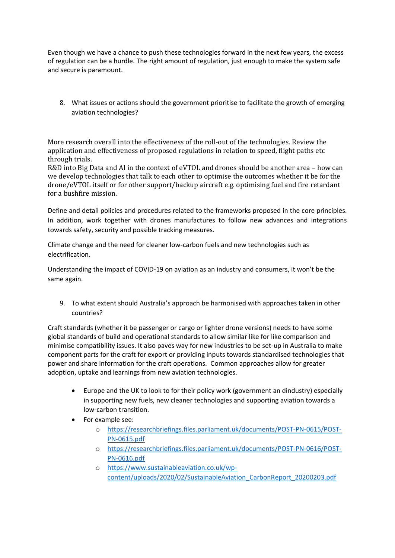Even though we have a chance to push these technologies forward in the next few years, the excess of regulation can be a hurdle. The right amount of regulation, just enough to make the system safe and secure is paramount.

8. What issues or actions should the government prioritise to facilitate the growth of emerging aviation technologies?

More research overall into the effectiveness of the roll-out of the technologies. Review the application and effectiveness of proposed regulations in relation to speed, flight paths etc through trials.

R&D into Big Data and AI in the context of eVTOL and drones should be another area – how can we develop technologies that talk to each other to optimise the outcomes whether it be for the drone/eVTOL itself or for other support/backup aircraft e.g. optimising fuel and fire retardant for a bushfire mission.

Define and detail policies and procedures related to the frameworks proposed in the core principles. In addition, work together with drones manufactures to follow new advances and integrations towards safety, security and possible tracking measures.

Climate change and the need for cleaner low-carbon fuels and new technologies such as electrification.

Understanding the impact of COVID-19 on aviation as an industry and consumers, it won't be the same again.

9. To what extent should Australia's approach be harmonised with approaches taken in other countries?

Craft standards (whether it be passenger or cargo or lighter drone versions) needs to have some global standards of build and operational standards to allow similar like for like comparison and minimise compatibility issues. It also paves way for new industries to be set-up in Australia to make component parts for the craft for export or providing inputs towards standardised technologies that power and share information for the craft operations. Common approaches allow for greater adoption, uptake and learnings from new aviation technologies.

- Europe and the UK to look to for their policy work (government an dindustry) especially in supporting new fuels, new cleaner technologies and supporting aviation towards a low-carbon transition.
- For example see:
	- o [https://researchbriefings.files.parliament.uk/documents/POST-PN-0615/POST-](https://researchbriefings.files.parliament.uk/documents/POST-PN-0615/POST-PN-0615.pdf)[PN-0615.pdf](https://researchbriefings.files.parliament.uk/documents/POST-PN-0615/POST-PN-0615.pdf)
	- o [https://researchbriefings.files.parliament.uk/documents/POST-PN-0616/POST-](https://researchbriefings.files.parliament.uk/documents/POST-PN-0616/POST-PN-0616.pdf)[PN-0616.pdf](https://researchbriefings.files.parliament.uk/documents/POST-PN-0616/POST-PN-0616.pdf)
	- o [https://www.sustainableaviation.co.uk/wp](https://www.sustainableaviation.co.uk/wp-content/uploads/2020/02/SustainableAviation_CarbonReport_20200203.pdf)[content/uploads/2020/02/SustainableAviation\\_CarbonReport\\_20200203.pdf](https://www.sustainableaviation.co.uk/wp-content/uploads/2020/02/SustainableAviation_CarbonReport_20200203.pdf)